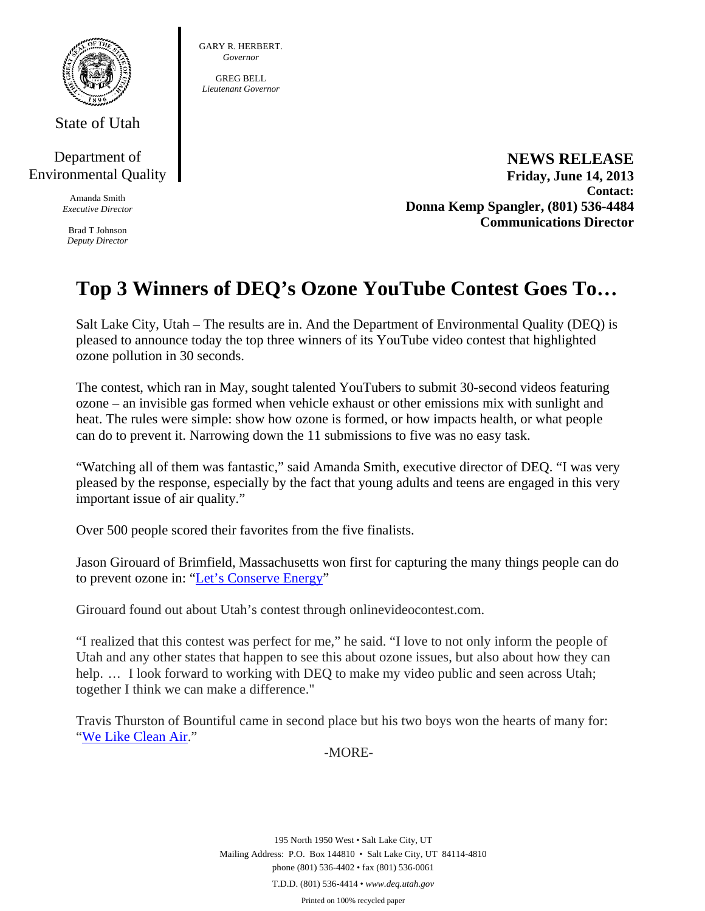

State of Utah

Department of Environmental Quality

> Amanda Smith *Executive Director*

Brad T Johnson *Deputy Director*  GARY R. HERBERT. *Governor* 

GREG BELL *Lieutenant Governor* 

> **NEWS RELEASE Friday, June 14, 2013 Contact: Donna Kemp Spangler, (801) 536-4484 Communications Director**

## **Top 3 Winners of DEQ's Ozone YouTube Contest Goes To…**

Salt Lake City, Utah – The results are in. And the Department of Environmental Quality (DEQ) is pleased to announce today the top three winners of its YouTube video contest that highlighted ozone pollution in 30 seconds.

The contest, which ran in May, sought talented YouTubers to submit 30-second videos featuring ozone – an invisible gas formed when vehicle exhaust or other emissions mix with sunlight and heat. The rules were simple: show how ozone is formed, or how impacts health, or what people can do to prevent it. Narrowing down the 11 submissions to five was no easy task.

"Watching all of them was fantastic," said Amanda Smith, executive director of DEQ. "I was very pleased by the response, especially by the fact that young adults and teens are engaged in this very important issue of air quality."

Over 500 people scored their favorites from the five finalists.

Jason Girouard of Brimfield, Massachusetts won first for capturing the many things people can do to prevent ozone in: "Let's Conserve Energy"

Girouard found out about Utah's contest through onlinevideocontest.com.

"I realized that this contest was perfect for me," he said. "I love to not only inform the people of Utah and any other states that happen to see this about ozone issues, but also about how they can help. ... I look forward to working with DEQ to make my video public and seen across Utah; together I think we can make a difference."

Travis Thurston of Bountiful came in second place but his two boys won the hearts of many for: "We Like Clean Air."

-MORE-

195 North 1950 West • Salt Lake City, UT Mailing Address: P.O. Box 144810 • Salt Lake City, UT 84114-4810 phone (801) 536-4402 • fax (801) 536-0061 T.D.D. (801) 536-4414 • *www.deq.utah.gov*  Printed on 100% recycled paper